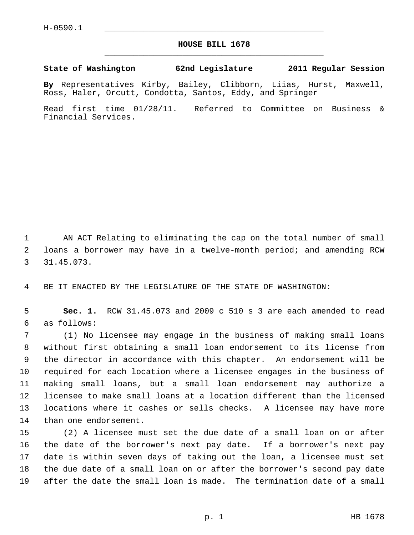## **HOUSE BILL 1678** \_\_\_\_\_\_\_\_\_\_\_\_\_\_\_\_\_\_\_\_\_\_\_\_\_\_\_\_\_\_\_\_\_\_\_\_\_\_\_\_\_\_\_\_\_

**State of Washington 62nd Legislature 2011 Regular Session**

**By** Representatives Kirby, Bailey, Clibborn, Liias, Hurst, Maxwell, Ross, Haler, Orcutt, Condotta, Santos, Eddy, and Springer

Read first time 01/28/11. Referred to Committee on Business & Financial Services.

 1 AN ACT Relating to eliminating the cap on the total number of small 2 loans a borrower may have in a twelve-month period; and amending RCW 3 31.45.073.

4 BE IT ENACTED BY THE LEGISLATURE OF THE STATE OF WASHINGTON:

 5 **Sec. 1.** RCW 31.45.073 and 2009 c 510 s 3 are each amended to read 6 as follows:

 7 (1) No licensee may engage in the business of making small loans 8 without first obtaining a small loan endorsement to its license from 9 the director in accordance with this chapter. An endorsement will be 10 required for each location where a licensee engages in the business of 11 making small loans, but a small loan endorsement may authorize a 12 licensee to make small loans at a location different than the licensed 13 locations where it cashes or sells checks. A licensee may have more 14 than one endorsement.

15 (2) A licensee must set the due date of a small loan on or after 16 the date of the borrower's next pay date. If a borrower's next pay 17 date is within seven days of taking out the loan, a licensee must set 18 the due date of a small loan on or after the borrower's second pay date 19 after the date the small loan is made. The termination date of a small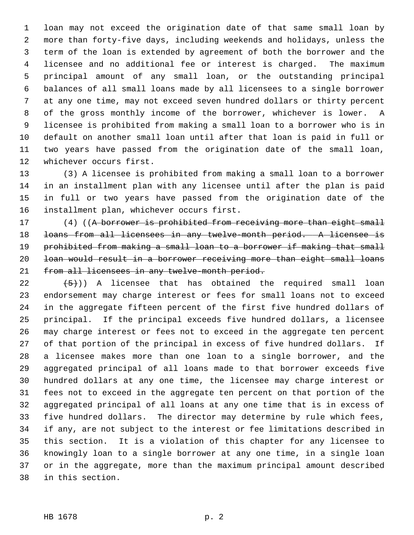1 loan may not exceed the origination date of that same small loan by 2 more than forty-five days, including weekends and holidays, unless the 3 term of the loan is extended by agreement of both the borrower and the 4 licensee and no additional fee or interest is charged. The maximum 5 principal amount of any small loan, or the outstanding principal 6 balances of all small loans made by all licensees to a single borrower 7 at any one time, may not exceed seven hundred dollars or thirty percent 8 of the gross monthly income of the borrower, whichever is lower. A 9 licensee is prohibited from making a small loan to a borrower who is in 10 default on another small loan until after that loan is paid in full or 11 two years have passed from the origination date of the small loan, 12 whichever occurs first.

13 (3) A licensee is prohibited from making a small loan to a borrower 14 in an installment plan with any licensee until after the plan is paid 15 in full or two years have passed from the origination date of the 16 installment plan, whichever occurs first.

17 (4) ((A borrower is prohibited from receiving more than eight small 18 loans from all licensees in any twelve-month period. A licensee is 19 prohibited from making a small loan to a borrower if making that small 20 loan would result in a borrower receiving more than eight small loans 21 from all licensees in any twelve-month period.

22  $(5)$ ) A licensee that has obtained the required small loan 23 endorsement may charge interest or fees for small loans not to exceed 24 in the aggregate fifteen percent of the first five hundred dollars of 25 principal. If the principal exceeds five hundred dollars, a licensee 26 may charge interest or fees not to exceed in the aggregate ten percent 27 of that portion of the principal in excess of five hundred dollars. If 28 a licensee makes more than one loan to a single borrower, and the 29 aggregated principal of all loans made to that borrower exceeds five 30 hundred dollars at any one time, the licensee may charge interest or 31 fees not to exceed in the aggregate ten percent on that portion of the 32 aggregated principal of all loans at any one time that is in excess of 33 five hundred dollars. The director may determine by rule which fees, 34 if any, are not subject to the interest or fee limitations described in 35 this section. It is a violation of this chapter for any licensee to 36 knowingly loan to a single borrower at any one time, in a single loan 37 or in the aggregate, more than the maximum principal amount described 38 in this section.